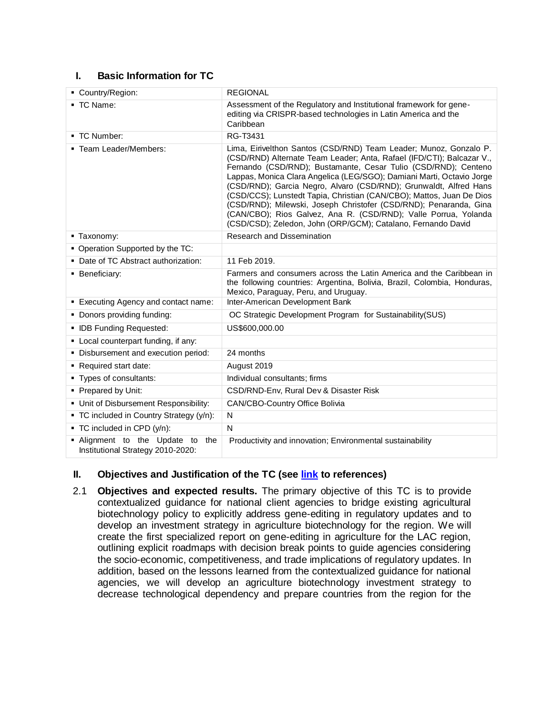### **I. Basic Information for TC**

| ■ Country/Region:                                                     | <b>REGIONAL</b>                                                                                                                                                                                                                                                                                                                                                                                                                                                                                                                                                                                                                            |
|-----------------------------------------------------------------------|--------------------------------------------------------------------------------------------------------------------------------------------------------------------------------------------------------------------------------------------------------------------------------------------------------------------------------------------------------------------------------------------------------------------------------------------------------------------------------------------------------------------------------------------------------------------------------------------------------------------------------------------|
| ■ TC Name:                                                            | Assessment of the Regulatory and Institutional framework for gene-<br>editing via CRISPR-based technologies in Latin America and the<br>Caribbean                                                                                                                                                                                                                                                                                                                                                                                                                                                                                          |
| - TC Number:                                                          | RG-T3431                                                                                                                                                                                                                                                                                                                                                                                                                                                                                                                                                                                                                                   |
| • Team Leader/Members:                                                | Lima, Eirivelthon Santos (CSD/RND) Team Leader; Munoz, Gonzalo P.<br>(CSD/RND) Alternate Team Leader; Anta, Rafael (IFD/CTI); Balcazar V.,<br>Fernando (CSD/RND); Bustamante, Cesar Tulio (CSD/RND); Centeno<br>Lappas, Monica Clara Angelica (LEG/SGO); Damiani Marti, Octavio Jorge<br>(CSD/RND); Garcia Negro, Alvaro (CSD/RND); Grunwaldt, Alfred Hans<br>(CSD/CCS); Lunstedt Tapia, Christian (CAN/CBO); Mattos, Juan De Dios<br>(CSD/RND); Milewski, Joseph Christofer (CSD/RND); Penaranda, Gina<br>(CAN/CBO); Rios Galvez, Ana R. (CSD/RND); Valle Porrua, Yolanda<br>(CSD/CSD); Zeledon, John (ORP/GCM); Catalano, Fernando David |
| ■ Taxonomy:                                                           | <b>Research and Dissemination</b>                                                                                                                                                                                                                                                                                                                                                                                                                                                                                                                                                                                                          |
| • Operation Supported by the TC:                                      |                                                                                                                                                                                                                                                                                                                                                                                                                                                                                                                                                                                                                                            |
| • Date of TC Abstract authorization:                                  | 11 Feb 2019.                                                                                                                                                                                                                                                                                                                                                                                                                                                                                                                                                                                                                               |
| • Beneficiary:                                                        | Farmers and consumers across the Latin America and the Caribbean in<br>the following countries: Argentina, Bolivia, Brazil, Colombia, Honduras,<br>Mexico, Paraguay, Peru, and Uruguay.                                                                                                                                                                                                                                                                                                                                                                                                                                                    |
| ■ Executing Agency and contact name:                                  | Inter-American Development Bank                                                                                                                                                                                                                                                                                                                                                                                                                                                                                                                                                                                                            |
| • Donors providing funding:                                           | OC Strategic Development Program for Sustainability(SUS)                                                                                                                                                                                                                                                                                                                                                                                                                                                                                                                                                                                   |
| • IDB Funding Requested:                                              | US\$600,000.00                                                                                                                                                                                                                                                                                                                                                                                                                                                                                                                                                                                                                             |
| • Local counterpart funding, if any:                                  |                                                                                                                                                                                                                                                                                                                                                                                                                                                                                                                                                                                                                                            |
| · Disbursement and execution period:                                  | 24 months                                                                                                                                                                                                                                                                                                                                                                                                                                                                                                                                                                                                                                  |
| Required start date:                                                  | August 2019                                                                                                                                                                                                                                                                                                                                                                                                                                                                                                                                                                                                                                |
| • Types of consultants:                                               | Individual consultants; firms                                                                                                                                                                                                                                                                                                                                                                                                                                                                                                                                                                                                              |
| • Prepared by Unit:                                                   | CSD/RND-Env, Rural Dev & Disaster Risk                                                                                                                                                                                                                                                                                                                                                                                                                                                                                                                                                                                                     |
| • Unit of Disbursement Responsibility:                                | CAN/CBO-Country Office Bolivia                                                                                                                                                                                                                                                                                                                                                                                                                                                                                                                                                                                                             |
| • TC included in Country Strategy (y/n):                              | N                                                                                                                                                                                                                                                                                                                                                                                                                                                                                                                                                                                                                                          |
| ■ TC included in CPD (y/n):                                           | N                                                                                                                                                                                                                                                                                                                                                                                                                                                                                                                                                                                                                                          |
| . Alignment to the Update to the<br>Institutional Strategy 2010-2020: | Productivity and innovation; Environmental sustainability                                                                                                                                                                                                                                                                                                                                                                                                                                                                                                                                                                                  |

## **II. Objectives and Justification of the TC (see [link](https://idbg.sharepoint.com/teams/EZ-RG-TCP/RG-T3431/15%20LifeCycle%20Milestones/RG-T3431%20-%20References.docx) to references)**

2.1 **Objectives and expected results.** The primary objective of this TC is to provide contextualized guidance for national client agencies to bridge existing agricultural biotechnology policy to explicitly address gene-editing in regulatory updates and to develop an investment strategy in agriculture biotechnology for the region. We will create the first specialized report on gene-editing in agriculture for the LAC region, outlining explicit roadmaps with decision break points to guide agencies considering the socio-economic, competitiveness, and trade implications of regulatory updates. In addition, based on the lessons learned from the contextualized guidance for national agencies, we will develop an agriculture biotechnology investment strategy to decrease technological dependency and prepare countries from the region for the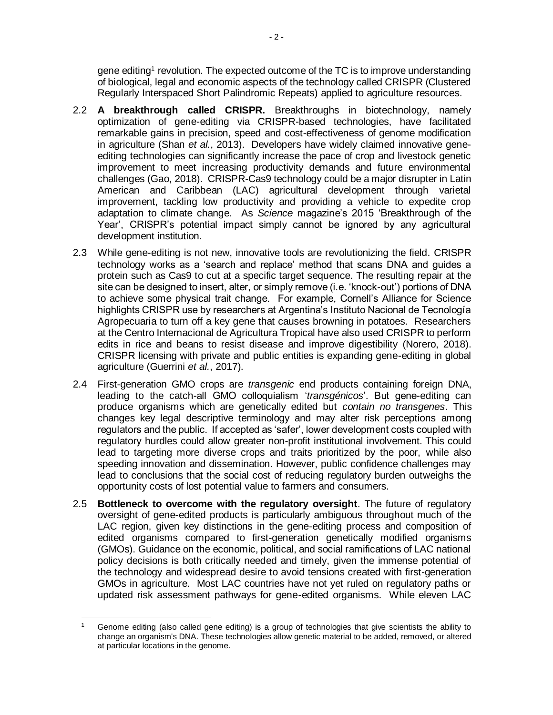gene editing<sup>1</sup> revolution. The expected outcome of the TC is to improve understanding of biological, legal and economic aspects of the technology called CRISPR (Clustered Regularly Interspaced Short Palindromic Repeats) applied to agriculture resources.

- 2.2 **A breakthrough called CRISPR.** Breakthroughs in biotechnology, namely optimization of gene-editing via CRISPR-based technologies, have facilitated remarkable gains in precision, speed and cost-effectiveness of genome modification in agriculture (Shan *et al.*, 2013). Developers have widely claimed innovative geneediting technologies can significantly increase the pace of crop and livestock genetic improvement to meet increasing productivity demands and future environmental challenges (Gao, 2018). CRISPR-Cas9 technology could be a major disrupter in Latin American and Caribbean (LAC) agricultural development through varietal improvement, tackling low productivity and providing a vehicle to expedite crop adaptation to climate change. As *Science* magazine's 2015 'Breakthrough of the Year', CRISPR's potential impact simply cannot be ignored by any agricultural development institution.
- 2.3 While gene-editing is not new, innovative tools are revolutionizing the field. CRISPR technology works as a 'search and replace' method that scans DNA and guides a protein such as Cas9 to cut at a specific target sequence. The resulting repair at the site can be designed to insert, alter, or simply remove (i.e. 'knock-out') portions of DNA to achieve some physical trait change. For example, Cornell's Alliance for Science highlights CRISPR use by researchers at Argentina's Instituto Nacional de Tecnología Agropecuaria to turn off a key gene that causes browning in potatoes. Researchers at the Centro Internacional de Agricultura Tropical have also used CRISPR to perform edits in rice and beans to resist disease and improve digestibility (Norero, 2018). CRISPR licensing with private and public entities is expanding gene-editing in global agriculture (Guerrini *et al.*, 2017).
- 2.4 First-generation GMO crops are *transgenic* end products containing foreign DNA, leading to the catch-all GMO colloquialism '*transgénicos*'. But gene-editing can produce organisms which are genetically edited but *contain no transgenes*. This changes key legal descriptive terminology and may alter risk perceptions among regulators and the public. If accepted as 'safer', lower development costs coupled with regulatory hurdles could allow greater non-profit institutional involvement. This could lead to targeting more diverse crops and traits prioritized by the poor, while also speeding innovation and dissemination. However, public confidence challenges may lead to conclusions that the social cost of reducing regulatory burden outweighs the opportunity costs of lost potential value to farmers and consumers.
- 2.5 **Bottleneck to overcome with the regulatory oversight**. The future of regulatory oversight of gene-edited products is particularly ambiguous throughout much of the LAC region, given key distinctions in the gene-editing process and composition of edited organisms compared to first-generation genetically modified organisms (GMOs). Guidance on the economic, political, and social ramifications of LAC national policy decisions is both critically needed and timely, given the immense potential of the technology and widespread desire to avoid tensions created with first-generation GMOs in agriculture. Most LAC countries have not yet ruled on regulatory paths or updated risk assessment pathways for gene-edited organisms. While eleven LAC

 $\overline{a}$ Genome editing (also called gene editing) is a group of technologies that give scientists the ability to change an organism's DNA. These technologies allow genetic material to be added, removed, or altered at particular locations in the genome.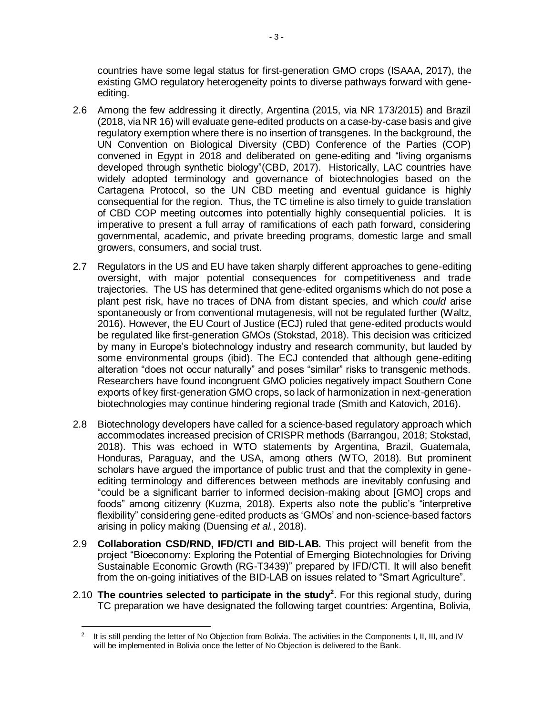countries have some legal status for first-generation GMO crops (ISAAA, 2017), the existing GMO regulatory heterogeneity points to diverse pathways forward with geneediting.

- 2.6 Among the few addressing it directly, Argentina (2015, via NR 173/2015) and Brazil (2018, via NR 16) will evaluate gene-edited products on a case-by-case basis and give regulatory exemption where there is no insertion of transgenes. In the background, the UN Convention on Biological Diversity (CBD) Conference of the Parties (COP) convened in Egypt in 2018 and deliberated on gene-editing and "living organisms developed through synthetic biology"(CBD, 2017). Historically, LAC countries have widely adopted terminology and governance of biotechnologies based on the Cartagena Protocol, so the UN CBD meeting and eventual guidance is highly consequential for the region. Thus, the TC timeline is also timely to guide translation of CBD COP meeting outcomes into potentially highly consequential policies. It is imperative to present a full array of ramifications of each path forward, considering governmental, academic, and private breeding programs, domestic large and small growers, consumers, and social trust.
- 2.7 Regulators in the US and EU have taken sharply different approaches to gene-editing oversight, with major potential consequences for competitiveness and trade trajectories. The US has determined that gene-edited organisms which do not pose a plant pest risk, have no traces of DNA from distant species, and which *could* arise spontaneously or from conventional mutagenesis, will not be regulated further (Waltz, 2016). However, the EU Court of Justice (ECJ) ruled that gene-edited products would be regulated like first-generation GMOs (Stokstad, 2018). This decision was criticized by many in Europe's biotechnology industry and research community, but lauded by some environmental groups (ibid). The ECJ contended that although gene-editing alteration "does not occur naturally" and poses "similar" risks to transgenic methods. Researchers have found incongruent GMO policies negatively impact Southern Cone exports of key first-generation GMO crops, so lack of harmonization in next-generation biotechnologies may continue hindering regional trade (Smith and Katovich, 2016).
- 2.8 Biotechnology developers have called for a science-based regulatory approach which accommodates increased precision of CRISPR methods (Barrangou, 2018; Stokstad, 2018). This was echoed in WTO statements by Argentina, Brazil, Guatemala, Honduras, Paraguay, and the USA, among others (WTO, 2018). But prominent scholars have argued the importance of public trust and that the complexity in geneediting terminology and differences between methods are inevitably confusing and "could be a significant barrier to informed decision-making about [GMO] crops and foods" among citizenry (Kuzma, 2018). Experts also note the public's "interpretive flexibility" considering gene-edited products as 'GMOs' and non-science-based factors arising in policy making (Duensing *et al.*, 2018).
- 2.9 **Collaboration CSD/RND, IFD/CTI and BID-LAB.** This project will benefit from the project "Bioeconomy: Exploring the Potential of Emerging Biotechnologies for Driving Sustainable Economic Growth (RG-T3439)" prepared by IFD/CTI. It will also benefit from the on-going initiatives of the BID-LAB on issues related to "Smart Agriculture".
- 2.10 **The countries selected to participate in the study<sup>2</sup> .** For this regional study, during TC preparation we have designated the following target countries: Argentina, Bolivia,

 $\overline{2}$ It is still pending the letter of No Objection from Bolivia. The activities in the Components I, II, III, and IV will be implemented in Bolivia once the letter of No Objection is delivered to the Bank.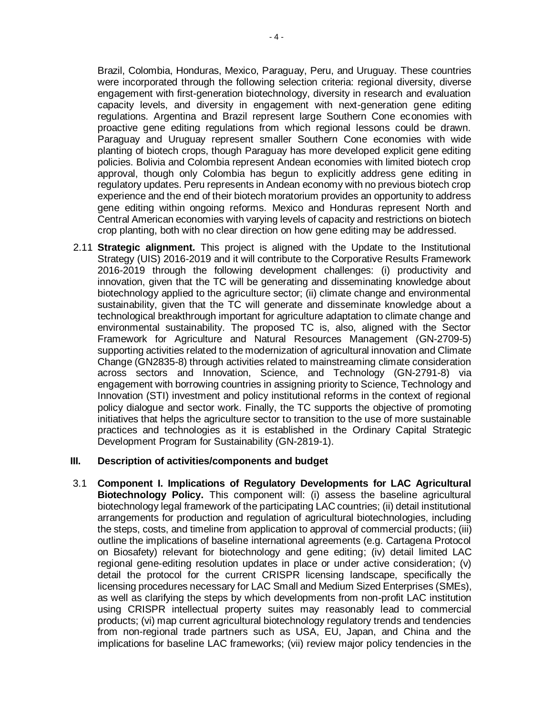Brazil, Colombia, Honduras, Mexico, Paraguay, Peru, and Uruguay. These countries were incorporated through the following selection criteria: regional diversity, diverse engagement with first-generation biotechnology, diversity in research and evaluation capacity levels, and diversity in engagement with next-generation gene editing regulations. Argentina and Brazil represent large Southern Cone economies with proactive gene editing regulations from which regional lessons could be drawn. Paraguay and Uruguay represent smaller Southern Cone economies with wide planting of biotech crops, though Paraguay has more developed explicit gene editing policies. Bolivia and Colombia represent Andean economies with limited biotech crop approval, though only Colombia has begun to explicitly address gene editing in regulatory updates. Peru represents in Andean economy with no previous biotech crop experience and the end of their biotech moratorium provides an opportunity to address gene editing within ongoing reforms. Mexico and Honduras represent North and Central American economies with varying levels of capacity and restrictions on biotech crop planting, both with no clear direction on how gene editing may be addressed.

2.11 **Strategic alignment.** This project is aligned with the Update to the Institutional Strategy (UIS) 2016-2019 and it will contribute to the Corporative Results Framework 2016-2019 through the following development challenges: (i) productivity and innovation, given that the TC will be generating and disseminating knowledge about biotechnology applied to the agriculture sector; (ii) climate change and environmental sustainability, given that the TC will generate and disseminate knowledge about a technological breakthrough important for agriculture adaptation to climate change and environmental sustainability. The proposed TC is, also, aligned with the Sector Framework for Agriculture and Natural Resources Management (GN-2709-5) supporting activities related to the modernization of agricultural innovation and Climate Change (GN2835-8) through activities related to mainstreaming climate consideration across sectors and Innovation, Science, and Technology (GN-2791-8) via engagement with borrowing countries in assigning priority to Science, Technology and Innovation (STI) investment and policy institutional reforms in the context of regional policy dialogue and sector work. Finally, the TC supports the objective of promoting initiatives that helps the agriculture sector to transition to the use of more sustainable practices and technologies as it is established in the Ordinary Capital Strategic Development Program for Sustainability (GN-2819-1).

#### **III. Description of activities/components and budget**

3.1 **Component I. Implications of Regulatory Developments for LAC Agricultural Biotechnology Policy.** This component will: (i) assess the baseline agricultural biotechnology legal framework of the participating LAC countries; (ii) detail institutional arrangements for production and regulation of agricultural biotechnologies, including the steps, costs, and timeline from application to approval of commercial products; (iii) outline the implications of baseline international agreements (e.g. Cartagena Protocol on Biosafety) relevant for biotechnology and gene editing; (iv) detail limited LAC regional gene-editing resolution updates in place or under active consideration; (v) detail the protocol for the current CRISPR licensing landscape, specifically the licensing procedures necessary for LAC Small and Medium Sized Enterprises (SMEs), as well as clarifying the steps by which developments from non-profit LAC institution using CRISPR intellectual property suites may reasonably lead to commercial products; (vi) map current agricultural biotechnology regulatory trends and tendencies from non-regional trade partners such as USA, EU, Japan, and China and the implications for baseline LAC frameworks; (vii) review major policy tendencies in the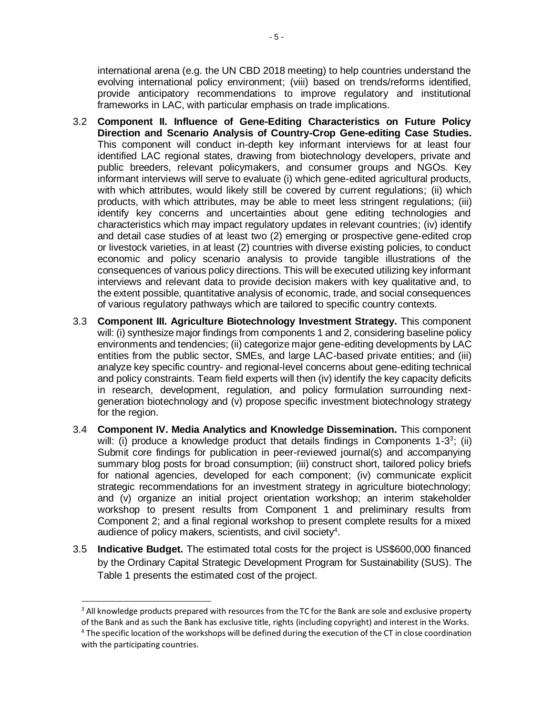international arena (e.g. the UN CBD 2018 meeting) to help countries understand the evolving international policy environment; (viii) based on trends/reforms identified, provide anticipatory recommendations to improve regulatory and institutional frameworks in LAC, with particular emphasis on trade implications.

- 3.2 **Component II. Influence of Gene-Editing Characteristics on Future Policy Direction and Scenario Analysis of Country-Crop Gene-editing Case Studies.** This component will conduct in-depth key informant interviews for at least four identified LAC regional states, drawing from biotechnology developers, private and public breeders, relevant policymakers, and consumer groups and NGOs. Key informant interviews will serve to evaluate (i) which gene-edited agricultural products, with which attributes, would likely still be covered by current regulations; (ii) which products, with which attributes, may be able to meet less stringent regulations; (iii) identify key concerns and uncertainties about gene editing technologies and characteristics which may impact regulatory updates in relevant countries; (iv) identify and detail case studies of at least two (2) emerging or prospective gene-edited crop or livestock varieties, in at least (2) countries with diverse existing policies, to conduct economic and policy scenario analysis to provide tangible illustrations of the consequences of various policy directions. This will be executed utilizing key informant interviews and relevant data to provide decision makers with key qualitative and, to the extent possible, quantitative analysis of economic, trade, and social consequences of various regulatory pathways which are tailored to specific country contexts.
- 3.3 **Component III. Agriculture Biotechnology Investment Strategy.** This component will: (i) synthesize major findings from components 1 and 2, considering baseline policy environments and tendencies; (ii) categorize major gene-editing developments by LAC entities from the public sector, SMEs, and large LAC-based private entities; and (iii) analyze key specific country- and regional-level concerns about gene-editing technical and policy constraints. Team field experts will then (iv) identify the key capacity deficits in research, development, regulation, and policy formulation surrounding nextgeneration biotechnology and (v) propose specific investment biotechnology strategy for the region.
- 3.4 **Component IV. Media Analytics and Knowledge Dissemination.** This component will: (i) produce a knowledge product that details findings in Components  $1-3^3$ ; (ii) Submit core findings for publication in peer-reviewed journal(s) and accompanying summary blog posts for broad consumption; (iii) construct short, tailored policy briefs for national agencies, developed for each component; (iv) communicate explicit strategic recommendations for an investment strategy in agriculture biotechnology; and (v) organize an initial project orientation workshop; an interim stakeholder workshop to present results from Component 1 and preliminary results from Component 2; and a final regional workshop to present complete results for a mixed audience of policy makers, scientists, and civil society<sup>4</sup>.
- 3.5 **Indicative Budget.** The estimated total costs for the project is US\$600,000 financed by the Ordinary Capital Strategic Development Program for Sustainability (SUS). The Table 1 presents the estimated cost of the project.

 $\overline{a}$ <sup>3</sup> All knowledge products prepared with resources from the TC for the Bank are sole and exclusive property of the Bank and as such the Bank has exclusive title, rights (including copyright) and interest in the Works.

<sup>&</sup>lt;sup>4</sup> The specific location of the workshops will be defined during the execution of the CT in close coordination with the participating countries.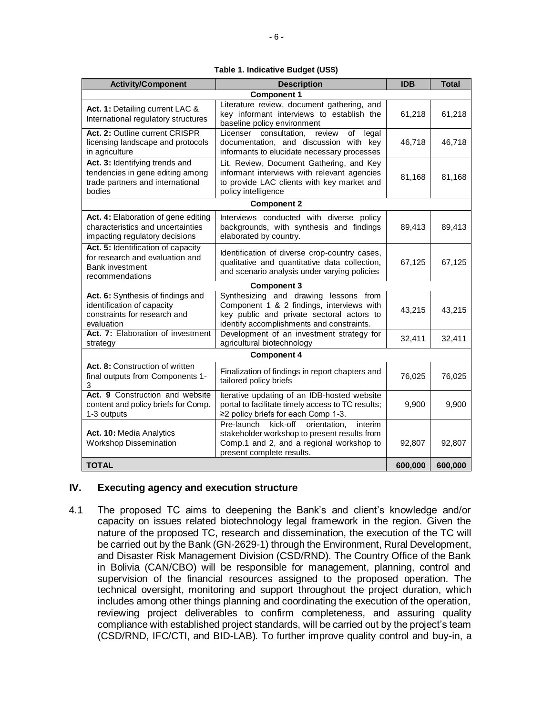|  | Table 1. Indicative Budget (US\$) |  |  |
|--|-----------------------------------|--|--|
|--|-----------------------------------|--|--|

| <b>Activity/Component</b>                                                                                          | <b>Description</b>                                                                                                                                                           | <b>IDB</b> | <b>Total</b> |  |  |  |
|--------------------------------------------------------------------------------------------------------------------|------------------------------------------------------------------------------------------------------------------------------------------------------------------------------|------------|--------------|--|--|--|
| <b>Component 1</b>                                                                                                 |                                                                                                                                                                              |            |              |  |  |  |
| Act. 1: Detailing current LAC &<br>International regulatory structures                                             | Literature review, document gathering, and<br>key informant interviews to establish the<br>baseline policy environment                                                       | 61,218     | 61,218       |  |  |  |
| Act. 2: Outline current CRISPR<br>licensing landscape and protocols<br>in agriculture                              | Licenser consultation,<br>review<br>of legal<br>documentation, and discussion with key<br>informants to elucidate necessary processes                                        | 46,718     | 46,718       |  |  |  |
| Act. 3: Identifying trends and<br>tendencies in gene editing among<br>trade partners and international<br>bodies   | Lit. Review, Document Gathering, and Key<br>informant interviews with relevant agencies<br>to provide LAC clients with key market and<br>policy intelligence                 | 81,168     | 81,168       |  |  |  |
|                                                                                                                    | <b>Component 2</b>                                                                                                                                                           |            |              |  |  |  |
| Act. 4: Elaboration of gene editing<br>characteristics and uncertainties<br>impacting regulatory decisions         | Interviews conducted with diverse policy<br>backgrounds, with synthesis and findings<br>elaborated by country.                                                               | 89,413     | 89,413       |  |  |  |
| Act. 5: Identification of capacity<br>for research and evaluation and<br><b>Bank investment</b><br>recommendations | Identification of diverse crop-country cases,<br>qualitative and quantitative data collection,<br>and scenario analysis under varying policies                               | 67.125     | 67.125       |  |  |  |
|                                                                                                                    | <b>Component 3</b>                                                                                                                                                           |            |              |  |  |  |
| Act. 6: Synthesis of findings and<br>identification of capacity<br>constraints for research and<br>evaluation      | Synthesizing and drawing lessons from<br>Component 1 & 2 findings, interviews with<br>key public and private sectoral actors to<br>identify accomplishments and constraints. | 43,215     | 43,215       |  |  |  |
| Act. 7: Elaboration of investment<br>strategy                                                                      | Development of an investment strategy for<br>agricultural biotechnology                                                                                                      | 32,411     | 32,411       |  |  |  |
| <b>Component 4</b>                                                                                                 |                                                                                                                                                                              |            |              |  |  |  |
| Act. 8: Construction of written<br>final outputs from Components 1-<br>3                                           | Finalization of findings in report chapters and<br>tailored policy briefs                                                                                                    | 76,025     | 76,025       |  |  |  |
| Act. 9 Construction and website<br>content and policy briefs for Comp.<br>1-3 outputs                              | Iterative updating of an IDB-hosted website<br>portal to facilitate timely access to TC results;<br>≥2 policy briefs for each Comp 1-3.                                      | 9,900      | 9,900        |  |  |  |
| Act. 10: Media Analytics<br><b>Workshop Dissemination</b>                                                          | kick-off<br>Pre-launch<br>orientation.<br>interim<br>stakeholder workshop to present results from<br>Comp.1 and 2, and a regional workshop to<br>present complete results.   | 92,807     | 92,807       |  |  |  |
| <b>TOTAL</b>                                                                                                       |                                                                                                                                                                              |            | 600,000      |  |  |  |

### **IV. Executing agency and execution structure**

4.1 The proposed TC aims to deepening the Bank's and client's knowledge and/or capacity on issues related biotechnology legal framework in the region. Given the nature of the proposed TC, research and dissemination, the execution of the TC will be carried out by the Bank (GN-2629-1) through the Environment, Rural Development, and Disaster Risk Management Division (CSD/RND). The Country Office of the Bank in Bolivia (CAN/CBO) will be responsible for management, planning, control and supervision of the financial resources assigned to the proposed operation. The technical oversight, monitoring and support throughout the project duration, which includes among other things planning and coordinating the execution of the operation, reviewing project deliverables to confirm completeness, and assuring quality compliance with established project standards, will be carried out by the project's team (CSD/RND, IFC/CTI, and BID-LAB). To further improve quality control and buy-in, a